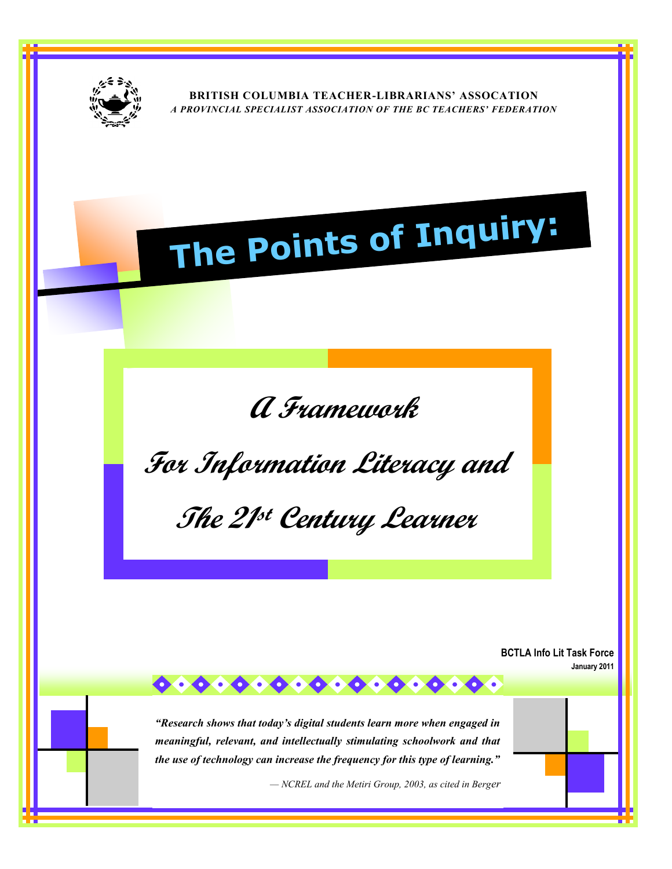

**BRITISH COLUMBIA TEACHER-LIBRARIANS' ASSOCATION**  *A PROVINCIAL SPECIALIST ASSOCIATION OF THE BC TEACHERS' FEDERATION*

# **The Points of Inquiry:**

**A Framework** 

**For Information Literacy and** 

**The 21 st Century Learner**

**BCTLA Info Lit Task Force January 2011**

*"Research shows that today's digital students learn more when engaged in meaningful, relevant, and intellectually stimulating schoolwork and that the use of technology can increase the frequency for this type of learning."*

 $0.00000000000000000000$ 

*— NCREL and the Metiri Group, 2003, as cited in Berger*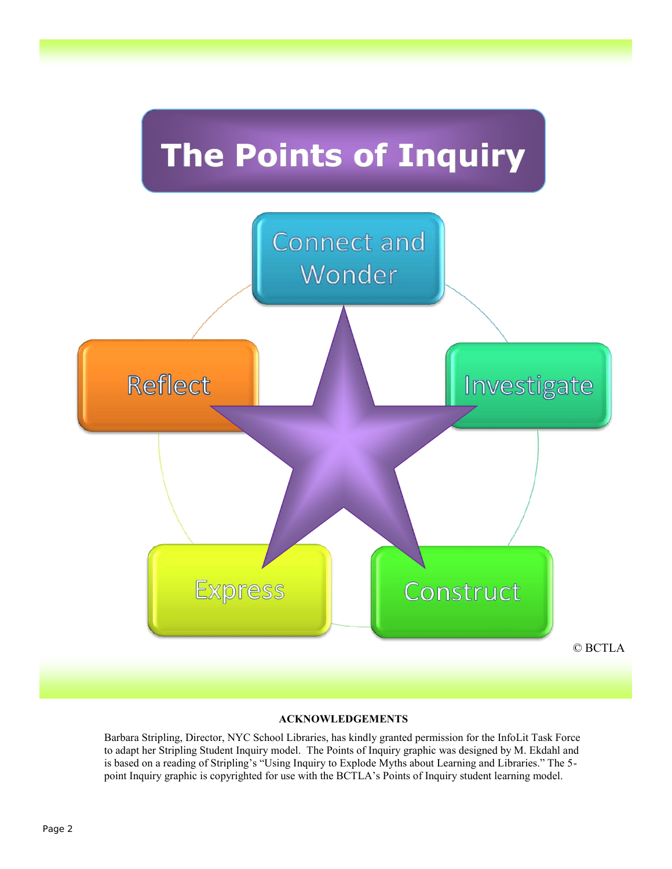

#### **ACKNOWLEDGEMENTS**

Barbara Stripling, Director, NYC School Libraries, has kindly granted permission for the InfoLit Task Force to adapt her Stripling Student Inquiry model. The Points of Inquiry graphic was designed by M. Ekdahl and is based on a reading of Stripling's "Using Inquiry to Explode Myths about Learning and Libraries." The 5 point Inquiry graphic is copyrighted for use with the BCTLA's Points of Inquiry student learning model.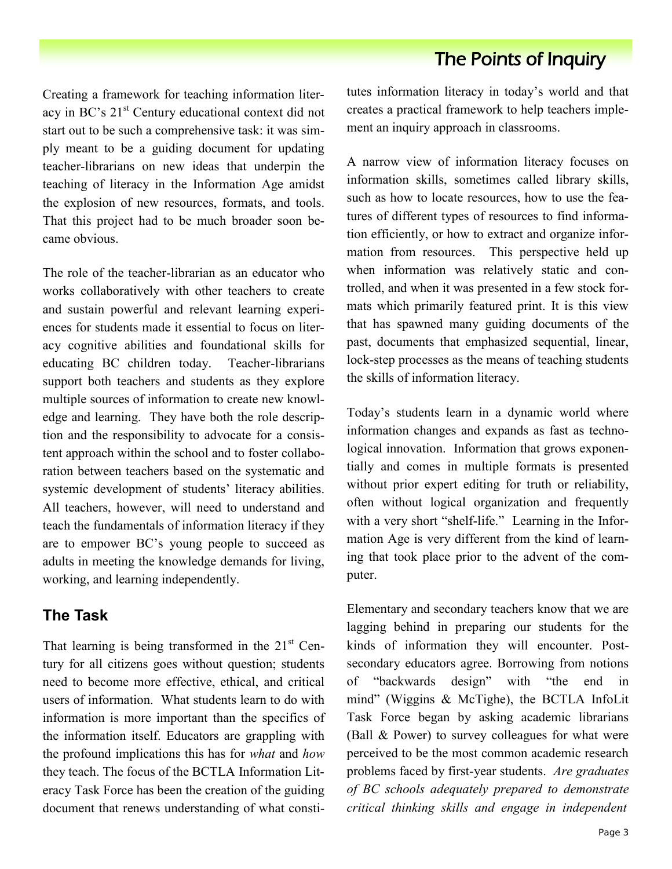Creating a framework for teaching information literacy in BC's 21<sup>st</sup> Century educational context did not start out to be such a comprehensive task: it was simply meant to be a guiding document for updating teacher-librarians on new ideas that underpin the teaching of literacy in the Information Age amidst the explosion of new resources, formats, and tools. That this project had to be much broader soon became obvious.

The role of the teacher-librarian as an educator who works collaboratively with other teachers to create and sustain powerful and relevant learning experiences for students made it essential to focus on literacy cognitive abilities and foundational skills for educating BC children today. Teacher-librarians support both teachers and students as they explore multiple sources of information to create new knowledge and learning. They have both the role description and the responsibility to advocate for a consistent approach within the school and to foster collaboration between teachers based on the systematic and systemic development of students' literacy abilities. All teachers, however, will need to understand and teach the fundamentals of information literacy if they are to empower BC's young people to succeed as adults in meeting the knowledge demands for living, working, and learning independently.

#### **The Task**

That learning is being transformed in the  $21<sup>st</sup>$  Century for all citizens goes without question; students need to become more effective, ethical, and critical users of information. What students learn to do with information is more important than the specifics of the information itself. Educators are grappling with the profound implications this has for *what* and *how* they teach. The focus of the BCTLA Information Literacy Task Force has been the creation of the guiding document that renews understanding of what constitutes information literacy in today's world and that creates a practical framework to help teachers implement an inquiry approach in classrooms.

A narrow view of information literacy focuses on information skills, sometimes called library skills, such as how to locate resources, how to use the features of different types of resources to find information efficiently, or how to extract and organize information from resources. This perspective held up when information was relatively static and controlled, and when it was presented in a few stock formats which primarily featured print. It is this view that has spawned many guiding documents of the past, documents that emphasized sequential, linear, lock-step processes as the means of teaching students the skills of information literacy.

Today's students learn in a dynamic world where information changes and expands as fast as technological innovation. Information that grows exponentially and comes in multiple formats is presented without prior expert editing for truth or reliability, often without logical organization and frequently with a very short "shelf-life." Learning in the Information Age is very different from the kind of learning that took place prior to the advent of the computer.

Elementary and secondary teachers know that we are lagging behind in preparing our students for the kinds of information they will encounter. Postsecondary educators agree. Borrowing from notions of "backwards design" with "the end in mind" (Wiggins & McTighe), the BCTLA InfoLit Task Force began by asking academic librarians (Ball & Power) to survey colleagues for what were perceived to be the most common academic research problems faced by first-year students. *Are graduates of BC schools adequately prepared to demonstrate critical thinking skills and engage in independent*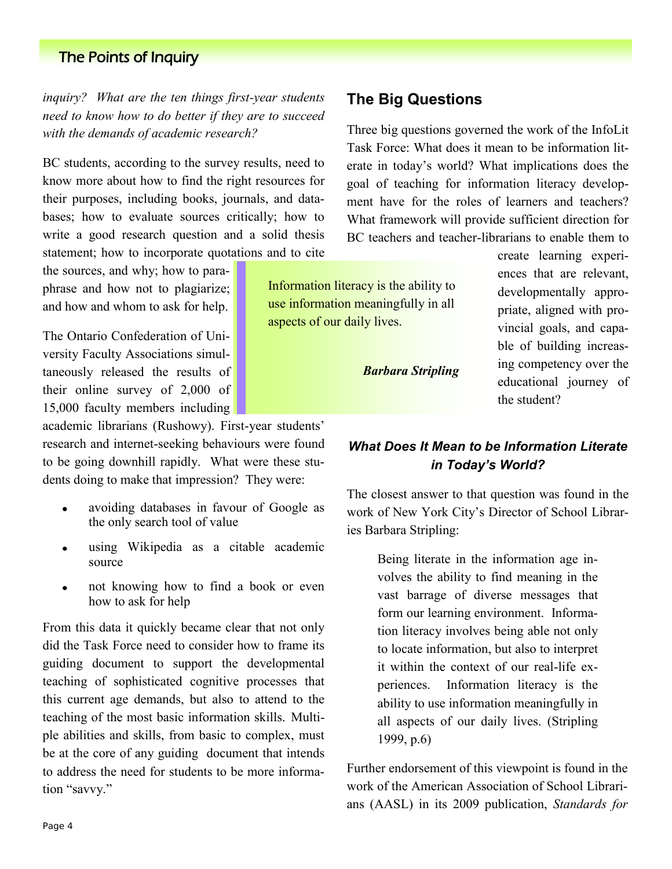*inquiry? What are the ten things first-year students need to know how to do better if they are to succeed with the demands of academic research?* 

BC students, according to the survey results, need to know more about how to find the right resources for their purposes, including books, journals, and databases; how to evaluate sources critically; how to write a good research question and a solid thesis statement; how to incorporate quotations and to cite

the sources, and why; how to paraphrase and how not to plagiarize; and how and whom to ask for help.

The Ontario Confederation of University Faculty Associations simultaneously released the results of their online survey of 2,000 of 15,000 faculty members including

academic librarians (Rushowy). First-year students' research and internet-seeking behaviours were found to be going downhill rapidly. What were these students doing to make that impression? They were:

- avoiding databases in favour of Google as  $\bullet$ the only search tool of value
- using Wikipedia as a citable academic  $\bullet$ source
- not knowing how to find a book or even  $\bullet$ how to ask for help

From this data it quickly became clear that not only did the Task Force need to consider how to frame its guiding document to support the developmental teaching of sophisticated cognitive processes that this current age demands, but also to attend to the teaching of the most basic information skills. Multiple abilities and skills, from basic to complex, must be at the core of any guiding document that intends to address the need for students to be more information "savvy."

Three big questions governed the work of the InfoLit Task Force: What does it mean to be information literate in today's world? What implications does the goal of teaching for information literacy development have for the roles of learners and teachers? What framework will provide sufficient direction for BC teachers and teacher-librarians to enable them to

Information literacy is the ability to use information meaningfully in all aspects of our daily lives.

*Barbara Stripling*

create learning experiences that are relevant, developmentally appropriate, aligned with provincial goals, and capable of building increasing competency over the educational journey of the student?

## *What Does It Mean to be Information Literate in Today's World?*

The closest answer to that question was found in the work of New York City's Director of School Libraries Barbara Stripling:

> Being literate in the information age involves the ability to find meaning in the vast barrage of diverse messages that form our learning environment. Information literacy involves being able not only to locate information, but also to interpret it within the context of our real-life experiences. Information literacy is the ability to use information meaningfully in all aspects of our daily lives. (Stripling 1999, p.6)

Further endorsement of this viewpoint is found in the work of the American Association of School Librarians (AASL) in its 2009 publication, *Standards for*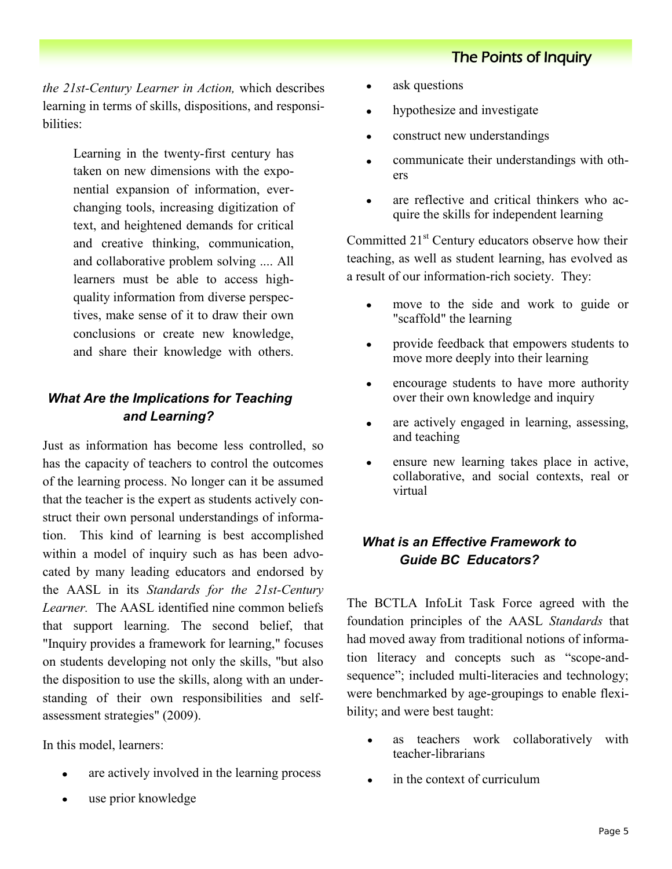*the 21st-Century Learner in Action,* which describes learning in terms of skills, dispositions, and responsibilities:

> Learning in the twenty-first century has taken on new dimensions with the exponential expansion of information, everchanging tools, increasing digitization of text, and heightened demands for critical and creative thinking, communication, and collaborative problem solving .... All learners must be able to access highquality information from diverse perspectives, make sense of it to draw their own conclusions or create new knowledge, and share their knowledge with others.

## *What Are the Implications for Teaching and Learning?*

Just as information has become less controlled, so has the capacity of teachers to control the outcomes of the learning process. No longer can it be assumed that the teacher is the expert as students actively construct their own personal understandings of information. This kind of learning is best accomplished within a model of inquiry such as has been advocated by many leading educators and endorsed by the AASL in its *Standards for the 21st-Century Learner.* The AASL identified nine common beliefs that support learning. The second belief, that "Inquiry provides a framework for learning," focuses on students developing not only the skills, "but also the disposition to use the skills, along with an understanding of their own responsibilities and selfassessment strategies" (2009).

In this model, learners:

- are actively involved in the learning process  $\bullet$
- use prior knowledge  $\bullet$
- ask questions  $\bullet$
- $\bullet$ hypothesize and investigate
- construct new understandings  $\bullet$
- communicate their understandings with oth- $\bullet$ ers
- are reflective and critical thinkers who acquire the skills for independent learning

Committed 21<sup>st</sup> Century educators observe how their teaching, as well as student learning, has evolved as a result of our information-rich society. They:

- move to the side and work to guide or "scaffold" the learning
- provide feedback that empowers students to  $\bullet$ move more deeply into their learning
- encourage students to have more authority  $\bullet$ over their own knowledge and inquiry
- are actively engaged in learning, assessing,  $\bullet$ and teaching
- ensure new learning takes place in active,  $\bullet$ collaborative, and social contexts, real or virtual

## *What is an Effective Framework to Guide BC Educators?*

The BCTLA InfoLit Task Force agreed with the foundation principles of the AASL *Standards* that had moved away from traditional notions of information literacy and concepts such as "scope-andsequence"; included multi-literacies and technology; were benchmarked by age-groupings to enable flexibility; and were best taught:

- as teachers work collaboratively with teacher-librarians
- in the context of curriculum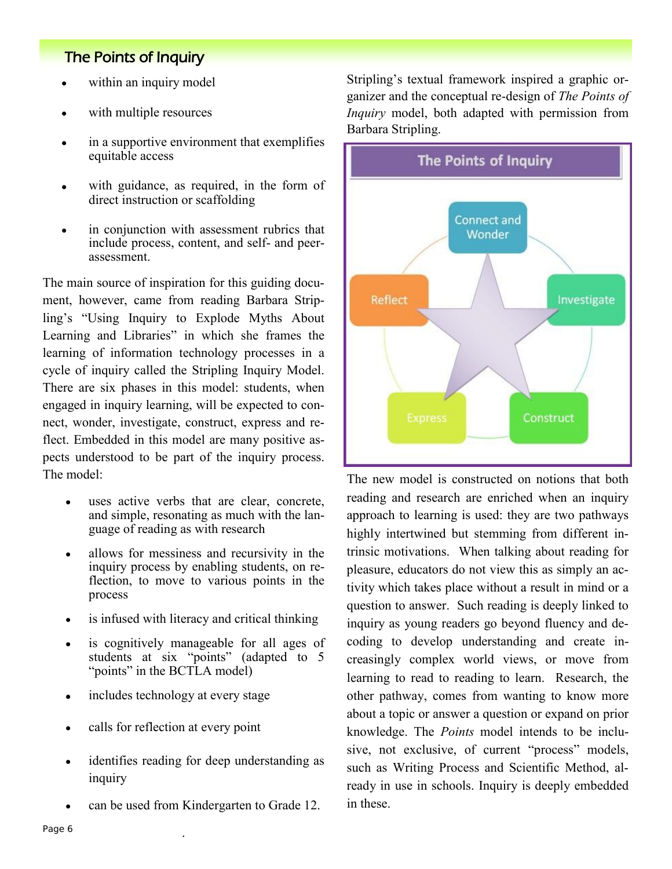- within an inquiry model
- with multiple resources
- in a supportive environment that exemplifies equitable access
- with guidance, as required, in the form of direct instruction or scaffolding
- in conjunction with assessment rubrics that  $\bullet$ include process, content, and self- and peerassessment.

The main source of inspiration for this guiding document, however, came from reading Barbara Stripling's "Using Inquiry to Explode Myths About Learning and Libraries" in which she frames the learning of information technology processes in a cycle of inquiry called the Stripling Inquiry Model. There are six phases in this model: students, when engaged in inquiry learning, will be expected to connect, wonder, investigate, construct, express and reflect. Embedded in this model are many positive aspects understood to be part of the inquiry process. The model:

- uses active verbs that are clear, concrete, and simple, resonating as much with the language of reading as with research
- allows for messiness and recursivity in the inquiry process by enabling students, on reflection, to move to various points in the process
- is infused with literacy and critical thinking  $\bullet$
- is cognitively manageable for all ages of  $\bullet$ students at six "points" (adapted to 5 "points" in the BCTLA model)
- includes technology at every stage  $\bullet$
- calls for reflection at every point
- identifies reading for deep understanding as  $\bullet$ inquiry
- can be used from Kindergarten to Grade 12.  $\bullet$

·

Stripling's textual framework inspired a graphic organizer and the conceptual re-design of *The Points of Inquiry* model, both adapted with permission from Barbara Stripling.



The new model is constructed on notions that both reading and research are enriched when an inquiry approach to learning is used: they are two pathways highly intertwined but stemming from different intrinsic motivations. When talking about reading for pleasure, educators do not view this as simply an activity which takes place without a result in mind or a question to answer. Such reading is deeply linked to inquiry as young readers go beyond fluency and decoding to develop understanding and create increasingly complex world views, or move from learning to read to reading to learn. Research, the other pathway, comes from wanting to know more about a topic or answer a question or expand on prior knowledge. The *Points* model intends to be inclusive, not exclusive, of current "process" models, such as Writing Process and Scientific Method, already in use in schools. Inquiry is deeply embedded in these.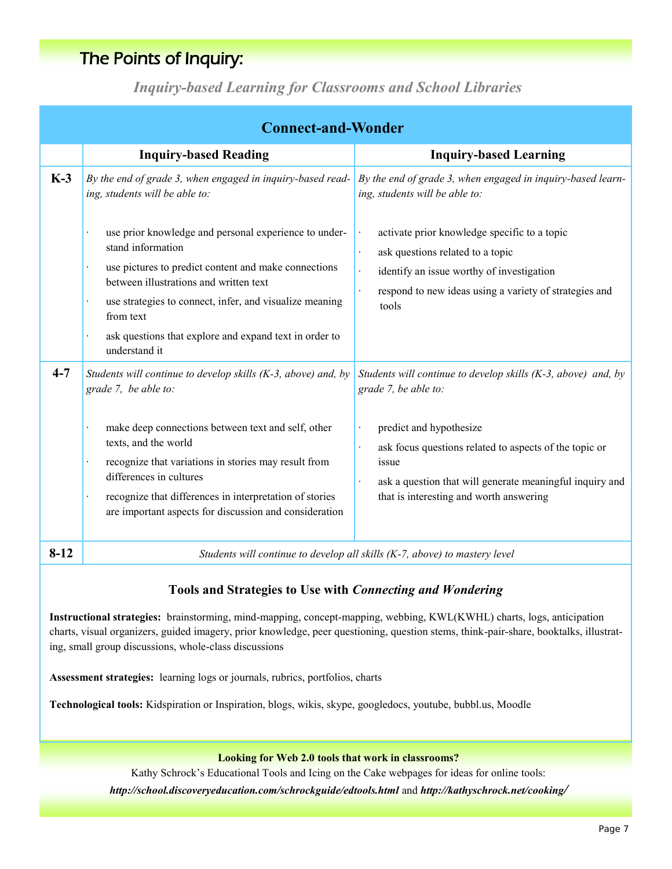*Inquiry-based Learning for Classrooms and School Libraries*

| <b>Connect-and-Wonder</b> |                                                                                                                                                                                                                                                                                                                                                                                                                |                                                                                                                                                                                                                                                                                                                                   |  |  |
|---------------------------|----------------------------------------------------------------------------------------------------------------------------------------------------------------------------------------------------------------------------------------------------------------------------------------------------------------------------------------------------------------------------------------------------------------|-----------------------------------------------------------------------------------------------------------------------------------------------------------------------------------------------------------------------------------------------------------------------------------------------------------------------------------|--|--|
|                           | <b>Inquiry-based Reading</b>                                                                                                                                                                                                                                                                                                                                                                                   | <b>Inquiry-based Learning</b>                                                                                                                                                                                                                                                                                                     |  |  |
| $K-3$                     | By the end of grade 3, when engaged in inquiry-based read-<br>ing, students will be able to:<br>use prior knowledge and personal experience to under-<br>stand information<br>use pictures to predict content and make connections<br>between illustrations and written text<br>use strategies to connect, infer, and visualize meaning<br>from text<br>ask questions that explore and expand text in order to | By the end of grade 3, when engaged in inquiry-based learn-<br>ing, students will be able to:<br>activate prior knowledge specific to a topic<br>ask questions related to a topic<br>$\bullet$<br>identify an issue worthy of investigation<br>respond to new ideas using a variety of strategies and<br>tools                    |  |  |
| $4 - 7$                   | understand it<br>Students will continue to develop skills $(K-3, above)$ and, by<br>grade 7, be able to:<br>make deep connections between text and self, other<br>texts, and the world<br>recognize that variations in stories may result from<br>differences in cultures<br>recognize that differences in interpretation of stories<br>are important aspects for discussion and consideration                 | Students will continue to develop skills $(K-3, above)$ and, by<br>grade 7, be able to:<br>predict and hypothesize<br>$\bullet$<br>ask focus questions related to aspects of the topic or<br>$\ddot{\phantom{0}}$<br>issue<br>ask a question that will generate meaningful inquiry and<br>that is interesting and worth answering |  |  |
| $8-12$                    | Students will continue to develop all skills (K-7, above) to mastery level                                                                                                                                                                                                                                                                                                                                     |                                                                                                                                                                                                                                                                                                                                   |  |  |

#### **Tools and Strategies to Use with** *Connecting and Wondering*

**Instructional strategies:** brainstorming, mind-mapping, concept-mapping, webbing, KWL(KWHL) charts, logs, anticipation charts, visual organizers, guided imagery, prior knowledge, peer questioning, question stems, think-pair-share, booktalks, illustrating, small group discussions, whole-class discussions

**Assessment strategies:** learning logs or journals, rubrics, portfolios, charts

**Technological tools:** Kidspiration or Inspiration, blogs, wikis, skype, googledocs, youtube, bubbl.us, Moodle

#### **Looking for Web 2.0 tools that work in classrooms?**

Kathy Schrock's Educational Tools and Icing on the Cake webpages for ideas for online tools: *http://school.discoveryeducation.com/schrockguide/edtools.html* and *http://kathyschrock.net/cooking/*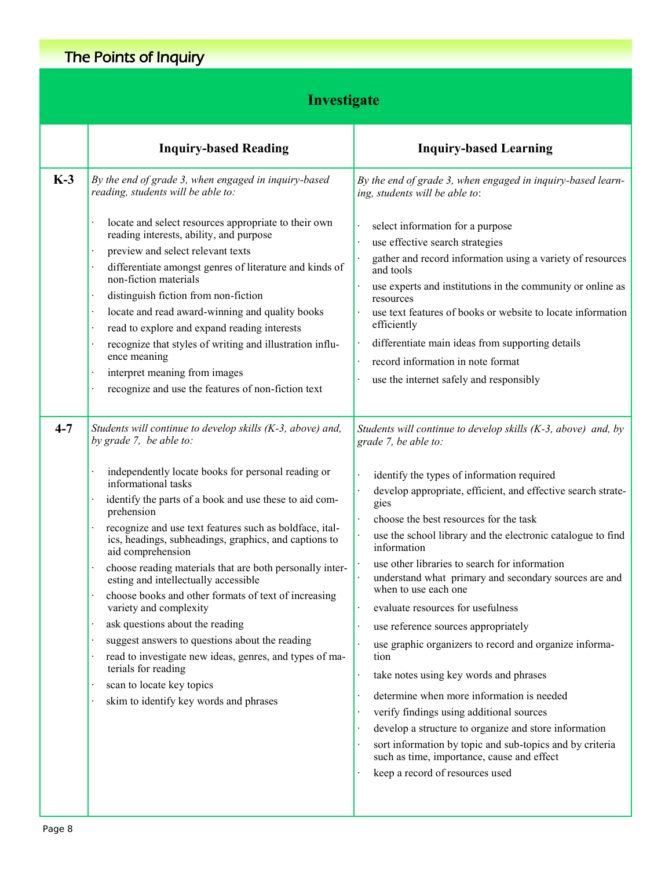## **Investigate**

|         | <b>Inquiry-based Reading</b>                                                                                                                                                                                                                                                                                                                                                                                                                                                                                                                                                                                                                                                                                                   | <b>Inquiry-based Learning</b>                                                                                                                                                                                                                                                                                                                                                                                                                                                                                                                                                                                                                                                                                                                                                                                                                                                                                                                                                                                         |
|---------|--------------------------------------------------------------------------------------------------------------------------------------------------------------------------------------------------------------------------------------------------------------------------------------------------------------------------------------------------------------------------------------------------------------------------------------------------------------------------------------------------------------------------------------------------------------------------------------------------------------------------------------------------------------------------------------------------------------------------------|-----------------------------------------------------------------------------------------------------------------------------------------------------------------------------------------------------------------------------------------------------------------------------------------------------------------------------------------------------------------------------------------------------------------------------------------------------------------------------------------------------------------------------------------------------------------------------------------------------------------------------------------------------------------------------------------------------------------------------------------------------------------------------------------------------------------------------------------------------------------------------------------------------------------------------------------------------------------------------------------------------------------------|
| $K-3$   | By the end of grade 3, when engaged in inquiry-based<br>reading, students will be able to:                                                                                                                                                                                                                                                                                                                                                                                                                                                                                                                                                                                                                                     | By the end of grade 3, when engaged in inquiry-based learn-<br>ing, students will be able to:                                                                                                                                                                                                                                                                                                                                                                                                                                                                                                                                                                                                                                                                                                                                                                                                                                                                                                                         |
|         | locate and select resources appropriate to their own<br>reading interests, ability, and purpose<br>preview and select relevant texts<br>differentiate amongst genres of literature and kinds of<br>non-fiction materials<br>distinguish fiction from non-fiction<br>locate and read award-winning and quality books<br>read to explore and expand reading interests<br>recognize that styles of writing and illustration influ-<br>ence meaning<br>interpret meaning from images<br>recognize and use the features of non-fiction text                                                                                                                                                                                         | select information for a purpose<br>use effective search strategies<br>$\bullet$<br>gather and record information using a variety of resources<br>and tools<br>use experts and institutions in the community or online as<br>resources<br>use text features of books or website to locate information<br>efficiently<br>differentiate main ideas from supporting details<br>$\bullet$<br>record information in note format<br>$\bullet$<br>use the internet safely and responsibly                                                                                                                                                                                                                                                                                                                                                                                                                                                                                                                                    |
| $4 - 7$ | Students will continue to develop skills (K-3, above) and,<br>by grade 7, be able to:                                                                                                                                                                                                                                                                                                                                                                                                                                                                                                                                                                                                                                          | Students will continue to develop skills $(K-3, above)$ and, by<br>grade 7, be able to:                                                                                                                                                                                                                                                                                                                                                                                                                                                                                                                                                                                                                                                                                                                                                                                                                                                                                                                               |
|         | independently locate books for personal reading or<br>informational tasks<br>identify the parts of a book and use these to aid com-<br>prehension<br>recognize and use text features such as boldface, ital-<br>ics, headings, subheadings, graphics, and captions to<br>aid comprehension<br>choose reading materials that are both personally inter-<br>esting and intellectually accessible<br>choose books and other formats of text of increasing<br>variety and complexity<br>ask questions about the reading<br>suggest answers to questions about the reading<br>read to investigate new ideas, genres, and types of ma-<br>terials for reading<br>scan to locate key topics<br>skim to identify key words and phrases | identify the types of information required<br>$\bullet$<br>develop appropriate, efficient, and effective search strate-<br>gies<br>choose the best resources for the task<br>$\ddot{\phantom{0}}$<br>$\ddot{\phantom{0}}$<br>use the school library and the electronic catalogue to find<br>information<br>use other libraries to search for information<br>$\cdot$<br>understand what primary and secondary sources are and<br>$\cdot$<br>when to use each one<br>evaluate resources for usefulness<br>use reference sources appropriately<br>use graphic organizers to record and organize informa-<br>$\ddot{\phantom{a}}$<br>tion<br>take notes using key words and phrases<br>$\bullet$<br>determine when more information is needed<br>$\bullet$<br>verify findings using additional sources<br>develop a structure to organize and store information<br>$\bullet$<br>sort information by topic and sub-topics and by criteria<br>such as time, importance, cause and effect<br>keep a record of resources used |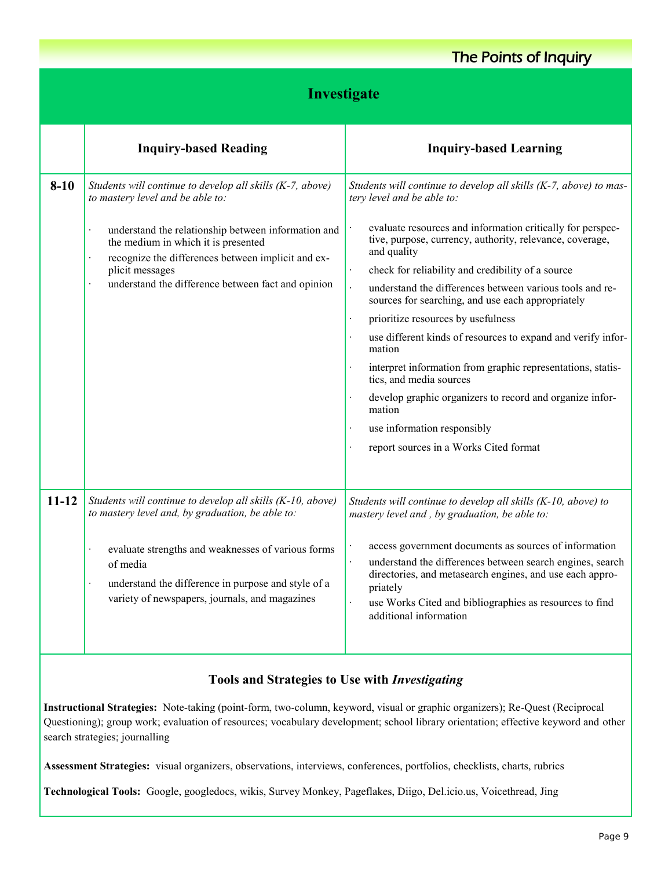#### **8-10** *Students will continue to develop all skills (K-7, above) to mastery level and be able to:* understand the relationship between information and the medium in which it is presented recognize the differences between implicit and explicit messages understand the difference between fact and opinion *Students will continue to develop all skills (K-7, above) to mastery level and be able to:* evaluate resources and information critically for perspective, purpose, currency, authority, relevance, coverage, and quality check for reliability and credibility of a source understand the differences between various tools and resources for searching, and use each appropriately prioritize resources by usefulness use different kinds of resources to expand and verify information interpret information from graphic representations, statistics, and media sources develop graphic organizers to record and organize information use information responsibly report sources in a Works Cited format **11-12** *Students will continue to develop all skills (K-10, above) to mastery level and, by graduation, be able to:* evaluate strengths and weaknesses of various forms of media understand the difference in purpose and style of a variety of newspapers, journals, and magazines *Students will continue to develop all skills (K-10, above) to mastery level and , by graduation, be able to:* access government documents as sources of information understand the differences between search engines, search directories, and metasearch engines, and use each appropriately use Works Cited and bibliographies as resources to find additional information **Investigate Inquiry-based Reading Inquiry-based Learning** The Points of Inquiry

#### **Tools and Strategies to Use with** *Investigating*

**Instructional Strategies:** Note-taking (point-form, two-column, keyword, visual or graphic organizers); Re-Quest (Reciprocal Questioning); group work; evaluation of resources; vocabulary development; school library orientation; effective keyword and other search strategies; journalling

**Assessment Strategies:** visual organizers, observations, interviews, conferences, portfolios, checklists, charts, rubrics

**Technological Tools:** Google, googledocs, wikis, Survey Monkey, Pageflakes, Diigo, Del.icio.us, Voicethread, Jing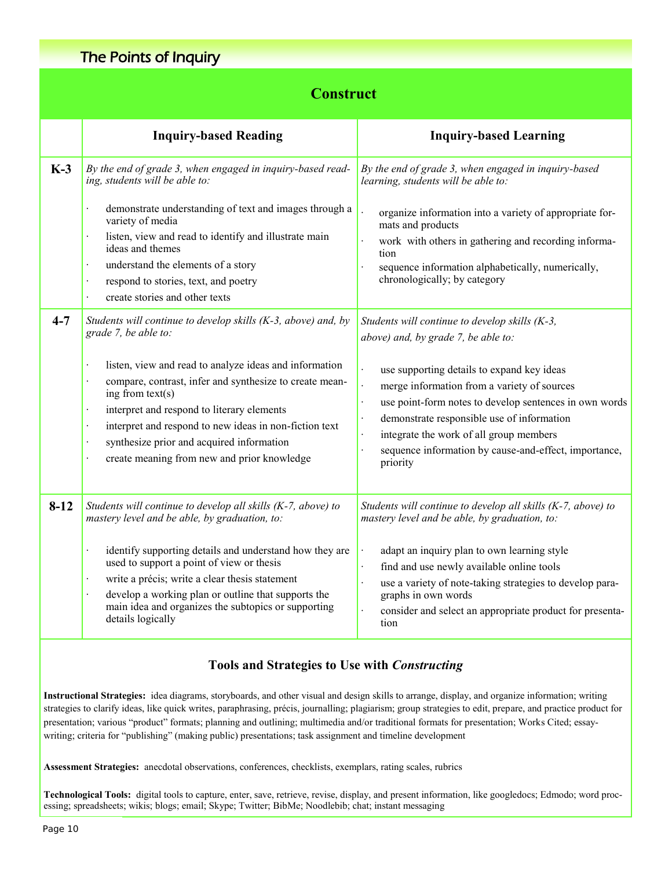## **Construct**

|         | <b>Inquiry-based Reading</b>                                                                                                                                                                                                                                                                                                                | <b>Inquiry-based Learning</b>                                                                                                                                                                                                                                                                                     |
|---------|---------------------------------------------------------------------------------------------------------------------------------------------------------------------------------------------------------------------------------------------------------------------------------------------------------------------------------------------|-------------------------------------------------------------------------------------------------------------------------------------------------------------------------------------------------------------------------------------------------------------------------------------------------------------------|
| $K-3$   | By the end of grade 3, when engaged in inquiry-based read-<br>ing, students will be able to:<br>demonstrate understanding of text and images through a<br>variety of media                                                                                                                                                                  | By the end of grade 3, when engaged in inquiry-based<br>learning, students will be able to:<br>organize information into a variety of appropriate for-<br>mats and products                                                                                                                                       |
|         | listen, view and read to identify and illustrate main<br>$\ddot{\phantom{0}}$<br>ideas and themes<br>understand the elements of a story<br>$\ddot{\phantom{a}}$<br>respond to stories, text, and poetry<br>create stories and other texts                                                                                                   | work with others in gathering and recording informa-<br>tion<br>sequence information alphabetically, numerically,<br>chronologically; by category                                                                                                                                                                 |
| $4 - 7$ | Students will continue to develop skills (K-3, above) and, by<br>grade 7, be able to:                                                                                                                                                                                                                                                       | Students will continue to develop skills (K-3,<br>above) and, by grade 7, be able to:                                                                                                                                                                                                                             |
|         | listen, view and read to analyze ideas and information<br>compare, contrast, infer and synthesize to create mean-<br>ing from $text(s)$<br>interpret and respond to literary elements<br>interpret and respond to new ideas in non-fiction text<br>synthesize prior and acquired information<br>create meaning from new and prior knowledge | use supporting details to expand key ideas<br>merge information from a variety of sources<br>use point-form notes to develop sentences in own words<br>demonstrate responsible use of information<br>integrate the work of all group members<br>sequence information by cause-and-effect, importance,<br>priority |
| $8-12$  | Students will continue to develop all skills (K-7, above) to<br>mastery level and be able, by graduation, to:                                                                                                                                                                                                                               | Students will continue to develop all skills (K-7, above) to<br>mastery level and be able, by graduation, to:                                                                                                                                                                                                     |
|         | identify supporting details and understand how they are<br>used to support a point of view or thesis<br>write a précis; write a clear thesis statement<br>$\ddot{\phantom{a}}$<br>develop a working plan or outline that supports the<br>main idea and organizes the subtopics or supporting<br>details logically                           | adapt an inquiry plan to own learning style<br>find and use newly available online tools<br>use a variety of note-taking strategies to develop para-<br>graphs in own words<br>consider and select an appropriate product for presenta-<br>tion                                                                   |

#### **Tools and Strategies to Use with** *Constructing*

**Instructional Strategies:** idea diagrams, storyboards, and other visual and design skills to arrange, display, and organize information; writing strategies to clarify ideas, like quick writes, paraphrasing, précis, journalling; plagiarism; group strategies to edit, prepare, and practice product for presentation; various "product" formats; planning and outlining; multimedia and/or traditional formats for presentation; Works Cited; essaywriting; criteria for "publishing" (making public) presentations; task assignment and timeline development

**Assessment Strategies:** anecdotal observations, conferences, checklists, exemplars, rating scales, rubrics

**Technological Tools:** digital tools to capture, enter, save, retrieve, revise, display, and present information, like googledocs; Edmodo; word processing; spreadsheets; wikis; blogs; email; Skype; Twitter; BibMe; Noodlebib; chat; instant messaging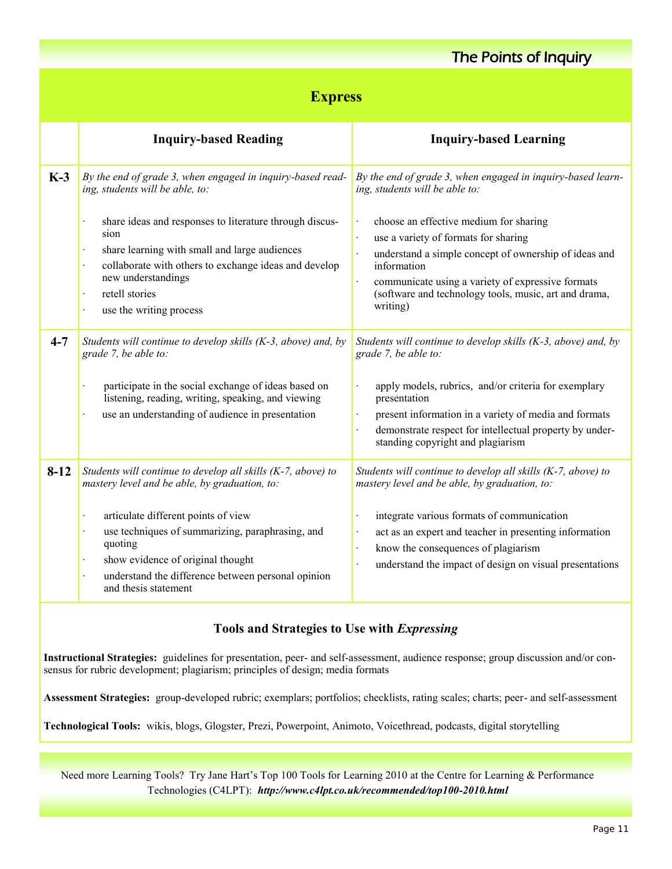## **Express**

|          | <b>Inquiry-based Reading</b>                                                                                                                                                                                                                                                                                                                                                                                     | <b>Inquiry-based Learning</b>                                                                                                                                                                                                                                                                                                                                                                                                                    |
|----------|------------------------------------------------------------------------------------------------------------------------------------------------------------------------------------------------------------------------------------------------------------------------------------------------------------------------------------------------------------------------------------------------------------------|--------------------------------------------------------------------------------------------------------------------------------------------------------------------------------------------------------------------------------------------------------------------------------------------------------------------------------------------------------------------------------------------------------------------------------------------------|
| $K-3$    | By the end of grade 3, when engaged in inquiry-based read-<br>ing, students will be able, to:<br>share ideas and responses to literature through discus-<br>sion<br>share learning with small and large audiences<br>$\bullet$<br>collaborate with others to exchange ideas and develop<br>$\ddot{\phantom{0}}$<br>new understandings<br>retell stories<br>$\bullet$<br>use the writing process<br>$\bullet$     | By the end of grade 3, when engaged in inquiry-based learn-<br>ing, students will be able to:<br>choose an effective medium for sharing<br>$\bullet$<br>use a variety of formats for sharing<br>$\ddot{\phantom{a}}$<br>understand a simple concept of ownership of ideas and<br>$\bullet$<br>information<br>communicate using a variety of expressive formats<br>$\bullet$<br>(software and technology tools, music, art and drama,<br>writing) |
| $4 - 7$  | Students will continue to develop skills (K-3, above) and, by<br>grade 7, be able to:<br>participate in the social exchange of ideas based on<br>$\ddot{\phantom{0}}$<br>listening, reading, writing, speaking, and viewing<br>use an understanding of audience in presentation<br>$\bullet$                                                                                                                     | Students will continue to develop skills (K-3, above) and, by<br>grade 7, be able to:<br>apply models, rubrics, and/or criteria for exemplary<br>$\cdot$<br>presentation<br>present information in a variety of media and formats<br>$\cdot$<br>demonstrate respect for intellectual property by under-<br>standing copyright and plagiarism                                                                                                     |
| $8 - 12$ | Students will continue to develop all skills (K-7, above) to<br>mastery level and be able, by graduation, to:<br>articulate different points of view<br>$\bullet$<br>use techniques of summarizing, paraphrasing, and<br>$\ddot{\phantom{0}}$<br>quoting<br>show evidence of original thought<br>$\bullet$<br>understand the difference between personal opinion<br>$\ddot{\phantom{0}}$<br>and thesis statement | Students will continue to develop all skills (K-7, above) to<br>mastery level and be able, by graduation, to:<br>integrate various formats of communication<br>$\bullet$<br>act as an expert and teacher in presenting information<br>$\bullet$<br>know the consequences of plagiarism<br>$\cdot$<br>understand the impact of design on visual presentations<br>$\cdot$                                                                          |

#### **Tools and Strategies to Use with** *Expressing*

**Instructional Strategies:** guidelines for presentation, peer- and self-assessment, audience response; group discussion and/or consensus for rubric development; plagiarism; principles of design; media formats

**Assessment Strategies:** group-developed rubric; exemplars; portfolios; checklists, rating scales; charts; peer- and self-assessment

**Technological Tools:** wikis, blogs, Glogster, Prezi, Powerpoint, Animoto, Voicethread, podcasts, digital storytelling

Need more Learning Tools? Try Jane Hart's Top 100 Tools for Learning 2010 at the Centre for Learning & Performance Technologies (C4LPT): *http://www.c4lpt.co.uk/recommended/top100-2010.html*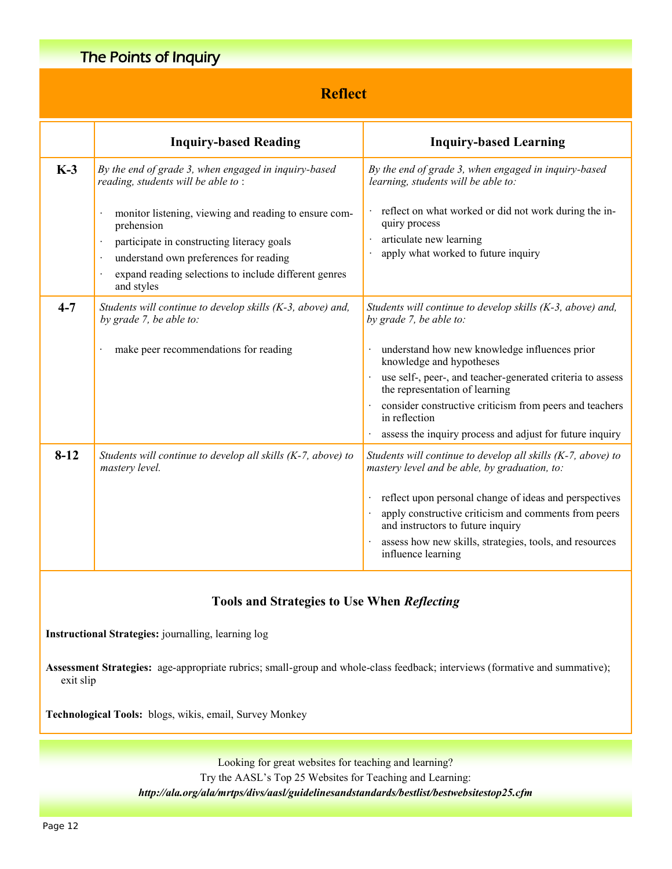## **Reflect**

|          | <b>Inquiry-based Reading</b>                                                                                                                                                                                                                                          | <b>Inquiry-based Learning</b>                                                                                                                                                                                                        |
|----------|-----------------------------------------------------------------------------------------------------------------------------------------------------------------------------------------------------------------------------------------------------------------------|--------------------------------------------------------------------------------------------------------------------------------------------------------------------------------------------------------------------------------------|
| $K-3$    | By the end of grade 3, when engaged in inquiry-based<br>reading, students will be able to:                                                                                                                                                                            | By the end of grade 3, when engaged in inquiry-based<br>learning, students will be able to:                                                                                                                                          |
|          | monitor listening, viewing and reading to ensure com-<br>$\cdot$<br>prehension<br>participate in constructing literacy goals<br>understand own preferences for reading<br>expand reading selections to include different genres<br>$\ddot{\phantom{0}}$<br>and styles | reflect on what worked or did not work during the in-<br>quiry process<br>articulate new learning<br>apply what worked to future inquiry                                                                                             |
| $4 - 7$  | Students will continue to develop skills (K-3, above) and,<br>by grade 7, be able to:                                                                                                                                                                                 | Students will continue to develop skills (K-3, above) and,<br>by grade 7, be able to:                                                                                                                                                |
|          | make peer recommendations for reading<br>$\cdot$                                                                                                                                                                                                                      | understand how new knowledge influences prior<br>knowledge and hypotheses                                                                                                                                                            |
|          |                                                                                                                                                                                                                                                                       | use self-, peer-, and teacher-generated criteria to assess<br>the representation of learning                                                                                                                                         |
|          |                                                                                                                                                                                                                                                                       | consider constructive criticism from peers and teachers<br>in reflection                                                                                                                                                             |
|          |                                                                                                                                                                                                                                                                       | assess the inquiry process and adjust for future inquiry                                                                                                                                                                             |
| $8 - 12$ | Students will continue to develop all skills (K-7, above) to<br>mastery level.                                                                                                                                                                                        | Students will continue to develop all skills (K-7, above) to<br>mastery level and be able, by graduation, to:                                                                                                                        |
|          |                                                                                                                                                                                                                                                                       | reflect upon personal change of ideas and perspectives<br>apply constructive criticism and comments from peers<br>and instructors to future inquiry<br>assess how new skills, strategies, tools, and resources<br>influence learning |

#### **Tools and Strategies to Use When** *Reflecting*

**Instructional Strategies:** journalling, learning log

Assessment Strategies: age-appropriate rubrics; small-group and whole-class feedback; interviews (formative and summative); exit slip

**Technological Tools:** blogs, wikis, email, Survey Monkey

Looking for great websites for teaching and learning? Try the AASL's Top 25 Websites for Teaching and Learning: *http://ala.org/ala/mrtps/divs/aasl/guidelinesandstandards/bestlist/bestwebsitestop25.cfm*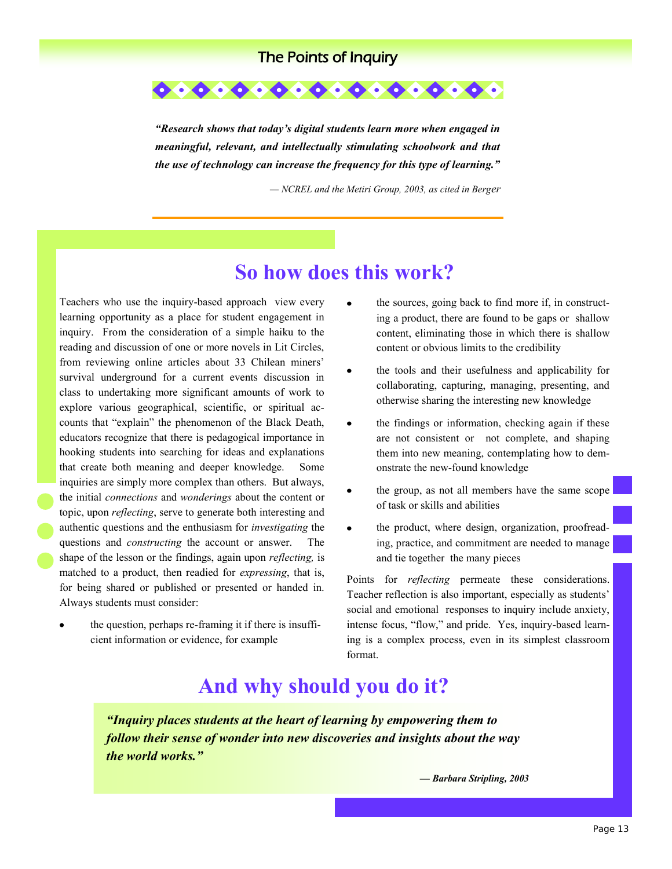

*"Research shows that today's digital students learn more when engaged in meaningful, relevant, and intellectually stimulating schoolwork and that the use of technology can increase the frequency for this type of learning."*

*— NCREL and the Metiri Group, 2003, as cited in Berger*

## **So how does this work?**

Teachers who use the inquiry-based approach view every learning opportunity as a place for student engagement in inquiry. From the consideration of a simple haiku to the reading and discussion of one or more novels in Lit Circles, from reviewing online articles about 33 Chilean miners' survival underground for a current events discussion in class to undertaking more significant amounts of work to explore various geographical, scientific, or spiritual accounts that "explain" the phenomenon of the Black Death, educators recognize that there is pedagogical importance in hooking students into searching for ideas and explanations that create both meaning and deeper knowledge. Some inquiries are simply more complex than others. But always, the initial *connections* and *wonderings* about the content or topic, upon *reflecting*, serve to generate both interesting and authentic questions and the enthusiasm for *investigating* the questions and *constructing* the account or answer. The shape of the lesson or the findings, again upon *reflecting,* is matched to a product, then readied for *expressing*, that is, for being shared or published or presented or handed in. Always students must consider:

the question, perhaps re-framing it if there is insufficient information or evidence, for example

- the sources, going back to find more if, in constructing a product, there are found to be gaps or shallow content, eliminating those in which there is shallow content or obvious limits to the credibility
- the tools and their usefulness and applicability for collaborating, capturing, managing, presenting, and otherwise sharing the interesting new knowledge
- the findings or information, checking again if these are not consistent or not complete, and shaping them into new meaning, contemplating how to demonstrate the new-found knowledge
- the group, as not all members have the same scope of task or skills and abilities
- the product, where design, organization, proofreading, practice, and commitment are needed to manage and tie together the many pieces

Points for *reflecting* permeate these considerations. Teacher reflection is also important, especially as students' social and emotional responses to inquiry include anxiety, intense focus, "flow," and pride. Yes, inquiry-based learning is a complex process, even in its simplest classroom format.

## **And why should you do it?**

*"Inquiry places students at the heart of learning by empowering them to follow their sense of wonder into new discoveries and insights about the way the world works."*

*— Barbara Stripling, 2003*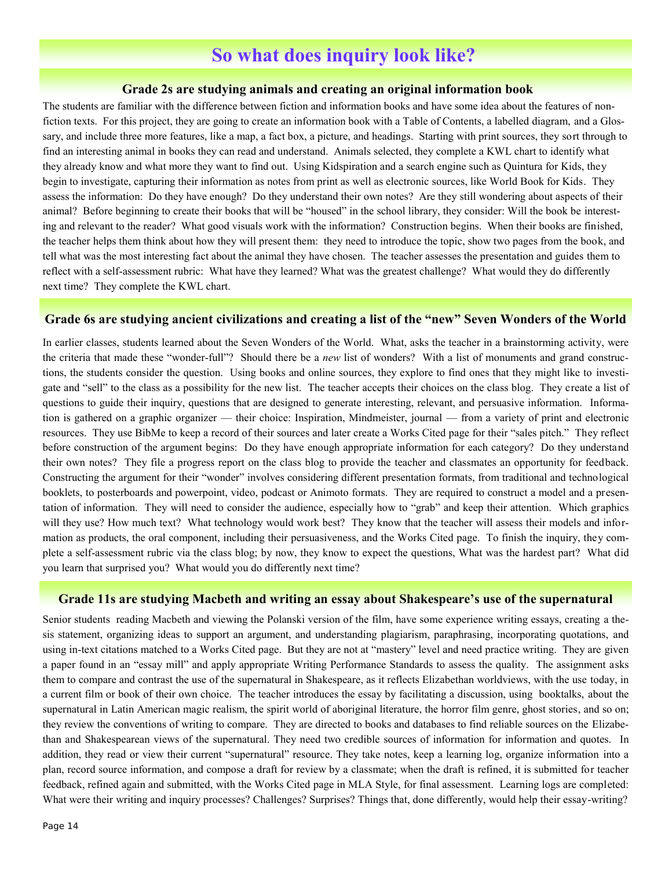## **So what does inquiry look like?**

#### **Grade 2s are studying animals and creating an original information book**

The students are familiar with the difference between fiction and information books and have some idea about the features of nonfiction texts. For this project, they are going to create an information book with a Table of Contents, a labelled diagram, and a Glossary, and include three more features, like a map, a fact box, a picture, and headings. Starting with print sources, they sort through to find an interesting animal in books they can read and understand. Animals selected, they complete a KWL chart to identify what they already know and what more they want to find out. Using Kidspiration and a search engine such as Quintura for Kids, they begin to investigate, capturing their information as notes from print as well as electronic sources, like World Book for Kids. They assess the information: Do they have enough? Do they understand their own notes? Are they still wondering about aspects of their animal? Before beginning to create their books that will be "housed" in the school library, they consider: Will the book be interesting and relevant to the reader? What good visuals work with the information? Construction begins. When their books are finished, the teacher helps them think about how they will present them: they need to introduce the topic, show two pages from the book, and tell what was the most interesting fact about the animal they have chosen. The teacher assesses the presentation and guides them to reflect with a self-assessment rubric: What have they learned? What was the greatest challenge? What would they do differently next time? They complete the KWL chart.

#### **Grade 6s are studying ancient civilizations and creating a list of the "new" Seven Wonders of the World**

In earlier classes, students learned about the Seven Wonders of the World. What, asks the teacher in a brainstorming activity, were the criteria that made these "wonder-full"? Should there be a *new* list of wonders? With a list of monuments and grand constructions, the students consider the question. Using books and online sources, they explore to find ones that they might like to investigate and "sell" to the class as a possibility for the new list. The teacher accepts their choices on the class blog. They create a list of questions to guide their inquiry, questions that are designed to generate interesting, relevant, and persuasive information. Information is gathered on a graphic organizer — their choice: Inspiration, Mindmeister, journal — from a variety of print and electronic resources. They use BibMe to keep a record of their sources and later create a Works Cited page for their "sales pitch." They reflect before construction of the argument begins: Do they have enough appropriate information for each category? Do they understand their own notes? They file a progress report on the class blog to provide the teacher and classmates an opportunity for feedback. Constructing the argument for their "wonder" involves considering different presentation formats, from traditional and technological booklets, to posterboards and powerpoint, video, podcast or Animoto formats. They are required to construct a model and a presentation of information. They will need to consider the audience, especially how to "grab" and keep their attention. Which graphics will they use? How much text? What technology would work best? They know that the teacher will assess their models and information as products, the oral component, including their persuasiveness, and the Works Cited page. To finish the inquiry, they complete a self-assessment rubric via the class blog; by now, they know to expect the questions, What was the hardest part? What did you learn that surprised you? What would you do differently next time?

#### **Grade 11s are studying Macbeth and writing an essay about Shakespeare's use of the supernatural**

Senior students reading Macbeth and viewing the Polanski version of the film, have some experience writing essays, creating a thesis statement, organizing ideas to support an argument, and understanding plagiarism, paraphrasing, incorporating quotations, and using in-text citations matched to a Works Cited page. But they are not at "mastery" level and need practice writing. They are given a paper found in an "essay mill" and apply appropriate Writing Performance Standards to assess the quality. The assignment asks them to compare and contrast the use of the supernatural in Shakespeare, as it reflects Elizabethan worldviews, with the use today, in a current film or book of their own choice. The teacher introduces the essay by facilitating a discussion, using booktalks, about the supernatural in Latin American magic realism, the spirit world of aboriginal literature, the horror film genre, ghost stories, and so on; they review the conventions of writing to compare. They are directed to books and databases to find reliable sources on the Elizabethan and Shakespearean views of the supernatural. They need two credible sources of information for information and quotes. In addition, they read or view their current "supernatural" resource. They take notes, keep a learning log, organize information into a plan, record source information, and compose a draft for review by a classmate; when the draft is refined, it is submitted for teacher feedback, refined again and submitted, with the Works Cited page in MLA Style, for final assessment. Learning logs are completed: What were their writing and inquiry processes? Challenges? Surprises? Things that, done differently, would help their essay-writing?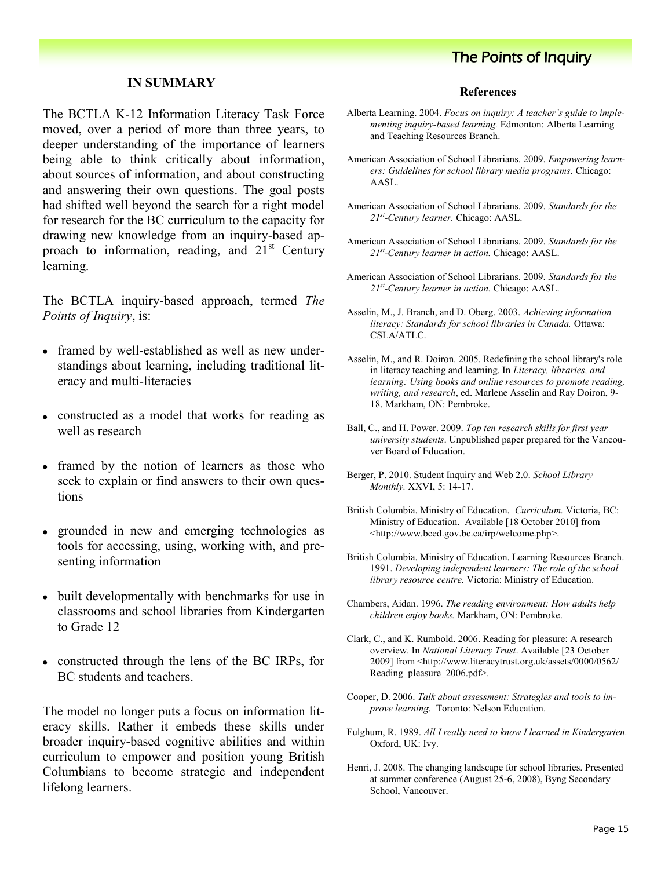#### **IN SUMMARY**

The BCTLA K-12 Information Literacy Task Force moved, over a period of more than three years, to deeper understanding of the importance of learners being able to think critically about information, about sources of information, and about constructing and answering their own questions. The goal posts had shifted well beyond the search for a right model for research for the BC curriculum to the capacity for drawing new knowledge from an inquiry-based approach to information, reading, and  $21<sup>st</sup>$  Century learning.

The BCTLA inquiry-based approach, termed *The Points of Inquiry*, is:

- framed by well-established as well as new understandings about learning, including traditional literacy and multi-literacies
- constructed as a model that works for reading as well as research
- framed by the notion of learners as those who seek to explain or find answers to their own questions
- grounded in new and emerging technologies as  $\bullet$ tools for accessing, using, working with, and presenting information
- built developmentally with benchmarks for use in classrooms and school libraries from Kindergarten to Grade 12
- constructed through the lens of the BC IRPs, for BC students and teachers.

The model no longer puts a focus on information literacy skills. Rather it embeds these skills under broader inquiry-based cognitive abilities and within curriculum to empower and position young British Columbians to become strategic and independent lifelong learners.

#### **References**

- Alberta Learning. 2004. *Focus on inquiry: A teacher's guide to implementing inquiry-based learning.* Edmonton: Alberta Learning and Teaching Resources Branch.
- American Association of School Librarians. 2009. *Empowering learners: Guidelines for school library media programs*. Chicago: AASL.
- American Association of School Librarians. 2009. *Standards for the 21st -Century learner.* Chicago: AASL.
- American Association of School Librarians. 2009. *Standards for the 21st -Century learner in action.* Chicago: AASL.
- American Association of School Librarians. 2009. *Standards for the 21st -Century learner in action.* Chicago: AASL.
- Asselin, M., J. Branch, and D. Oberg. 2003. *Achieving information literacy: Standards for school libraries in Canada.* Ottawa: CSLA/ATLC.
- Asselin, M., and R. Doiron. 2005. Redefining the school library's role in literacy teaching and learning. In *Literacy, libraries, and learning: Using books and online resources to promote reading, writing, and research*, ed. Marlene Asselin and Ray Doiron, 9- 18. Markham, ON: Pembroke.
- Ball, C., and H. Power. 2009. *Top ten research skills for first year university students*. Unpublished paper prepared for the Vancouver Board of Education.
- Berger, P. 2010. Student Inquiry and Web 2.0. *School Library Monthly.* XXVI, 5: 14-17.
- British Columbia. Ministry of Education. *Curriculum.* Victoria, BC: Ministry of Education. Available [18 October 2010] from <http://www.bced.gov.bc.ca/irp/welcome.php>.
- British Columbia. Ministry of Education. Learning Resources Branch. 1991. *Developing independent learners: The role of the school library resource centre.* Victoria: Ministry of Education.
- Chambers, Aidan. 1996. *The reading environment: How adults help children enjoy books.* Markham, ON: Pembroke.
- Clark, C., and K. Rumbold. 2006. Reading for pleasure: A research overview. In *National Literacy Trust*. Available [23 October 2009] from <http://www.literacytrust.org.uk/assets/0000/0562/ Reading\_pleasure\_2006.pdf>.
- Cooper, D. 2006. *Talk about assessment: Strategies and tools to improve learning*. Toronto: Nelson Education.
- Fulghum, R. 1989. *All I really need to know I learned in Kindergarten.* Oxford, UK: Ivy.
- Henri, J. 2008. The changing landscape for school libraries. Presented at summer conference (August 25-6, 2008), Byng Secondary School, Vancouver.